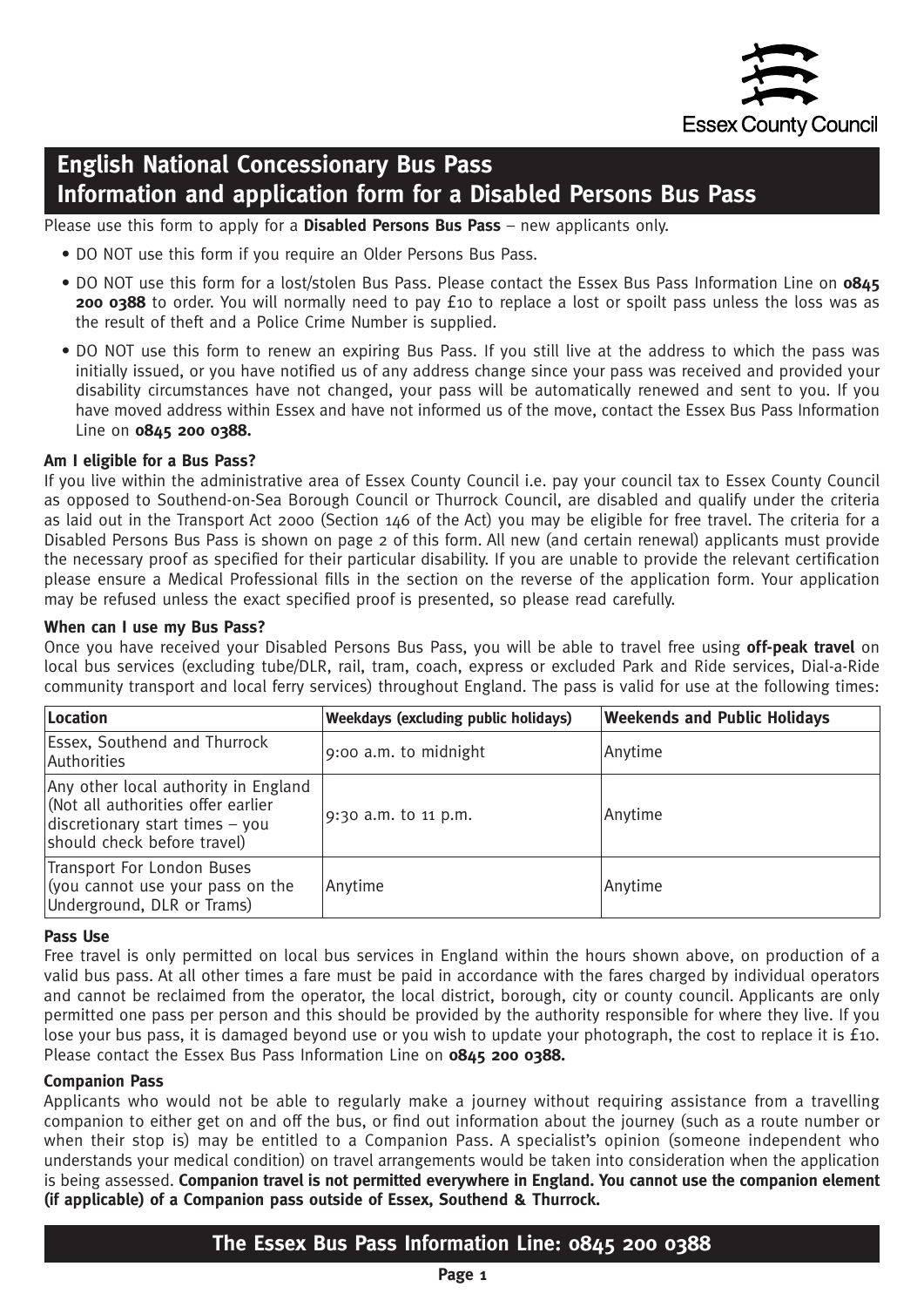

# **English National Concessionary Bus Pass Information and application form for a Disabled Persons Bus Pass**

Please use this form to apply for a **Disabled Persons Bus Pass** – new applicants only.

- DO NOT use this form if you require an Older Persons Bus Pass.
- DO NOT use this form for a lost/stolen Bus Pass. Please contact the Essex Bus Pass Information Line on **0845 200 0388** to order. You will normally need to pay £10 to replace a lost or spoilt pass unless the loss was as the result of theft and a Police Crime Number is supplied.
- DO NOT use this form to renew an expiring Bus Pass. If you still live at the address to which the pass was initially issued, or you have notified us of any address change since your pass was received and provided your disability circumstances have not changed, your pass will be automatically renewed and sent to you. If you have moved address within Essex and have not informed us of the move, contact the Essex Bus Pass Information Line on **0845 200 0388.**

### **Am I eligible for a Bus Pass?**

If you live within the administrative area of Essex County Council i.e. pay your council tax to Essex County Council as opposed to Southend-on-Sea Borough Council or Thurrock Council, are disabled and qualify under the criteria as laid out in the Transport Act 2000 (Section 146 of the Act) you may be eligible for free travel. The criteria for a Disabled Persons Bus Pass is shown on page 2 of this form. All new (and certain renewal) applicants must provide the necessary proof as specified for their particular disability. If you are unable to provide the relevant certification please ensure a Medical Professional fills in the section on the reverse of the application form. Your application may be refused unless the exact specified proof is presented, so please read carefully.

### **When can I use my Bus Pass?**

Once you have received your Disabled Persons Bus Pass, you will be able to travel free using **off-peak travel** on local bus services (excluding tube/DLR, rail, tram, coach, express or excluded Park and Ride services, Dial-a-Ride community transport and local ferry services) throughout England. The pass is valid for use at the following times:

| Location                                                                                                                                     | Weekdays (excluding public holidays) | <b>Weekends and Public Holidays</b> |
|----------------------------------------------------------------------------------------------------------------------------------------------|--------------------------------------|-------------------------------------|
| <b>Essex, Southend and Thurrock</b><br> Authorities                                                                                          | 9:00 a.m. to midnight                | Anytime                             |
| Any other local authority in England<br>(Not all authorities offer earlier<br>discretionary start times - you<br>should check before travel) | 9:30 a.m. to 11 p.m.                 | Anytime                             |
| Transport For London Buses<br>(you cannot use your pass on the<br>Underground, DLR or Trams)                                                 | Anytime                              | Anytime                             |

#### **Pass Use**

Free travel is only permitted on local bus services in England within the hours shown above, on production of a valid bus pass. At all other times a fare must be paid in accordance with the fares charged by individual operators and cannot be reclaimed from the operator, the local district, borough, city or county council. Applicants are only permitted one pass per person and this should be provided by the authority responsible for where they live. If you lose your bus pass, it is damaged beyond use or you wish to update your photograph, the cost to replace it is £10. Please contact the Essex Bus Pass Information Line on **0845 200 0388.**

#### **Companion Pass**

Applicants who would not be able to regularly make a journey without requiring assistance from a travelling companion to either get on and off the bus, or find out information about the journey (such as a route number or when their stop is) may be entitled to a Companion Pass. A specialist's opinion (someone independent who understands your medical condition) on travel arrangements would be taken into consideration when the application is being assessed. **Companion travel is not permitted everywhere in England. You cannot use the companion element (if applicable) of a Companion pass outside of Essex, Southend & Thurrock.**

# **The Essex Bus Pass Information Line: 0845 200 0388**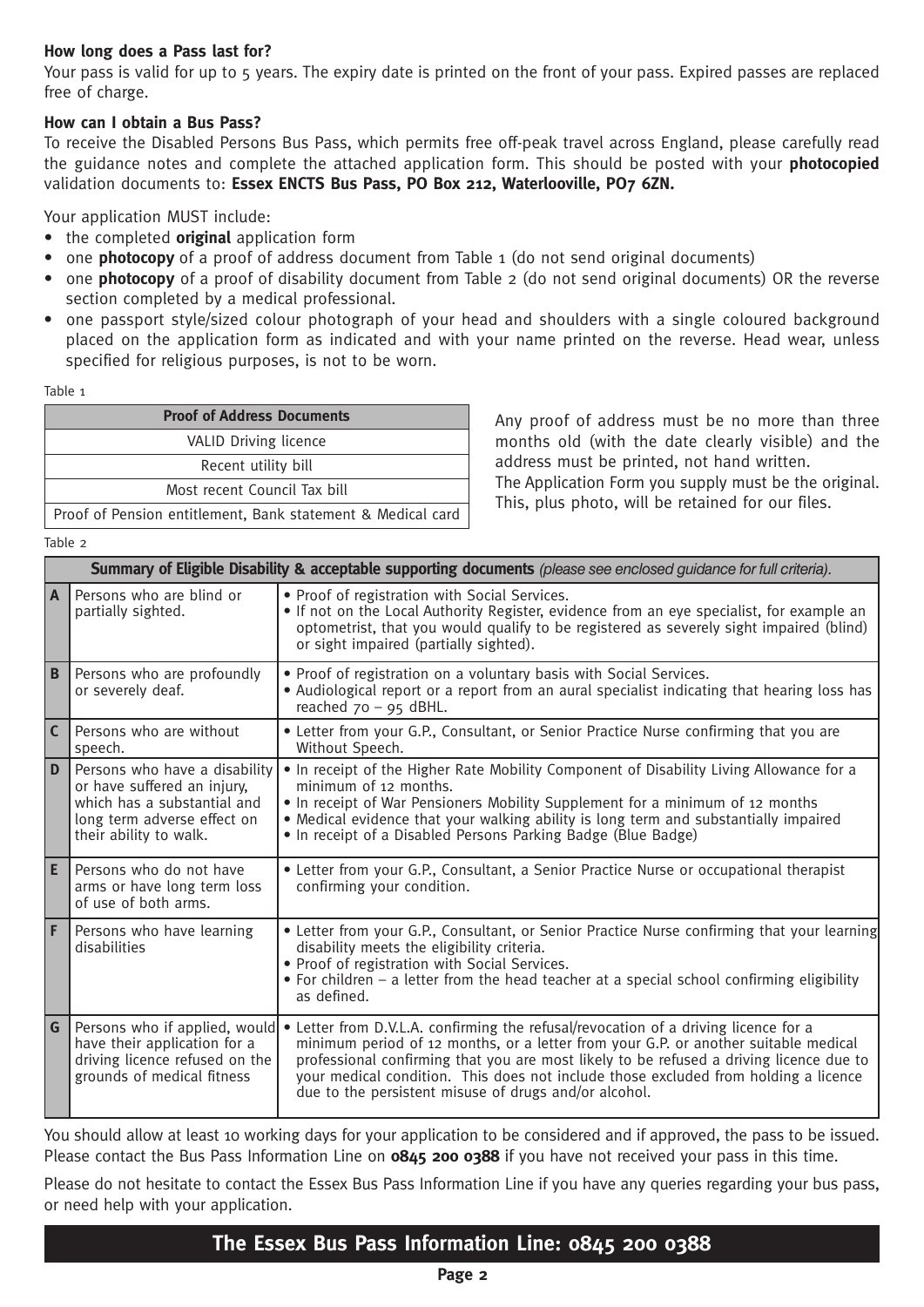## **How long does a Pass last for?**

Your pass is valid for up to 5 years. The expiry date is printed on the front of your pass. Expired passes are replaced free of charge.

## **How can I obtain a Bus Pass?**

To receive the Disabled Persons Bus Pass, which permits free off-peak travel across England, please carefully read the guidance notes and complete the attached application form. This should be posted with your **photocopied** validation documents to: **Essex ENCTS Bus Pass, PO Box 212, Waterlooville, PO7 6ZN.**

Your application MUST include:

- the completed **original** application form
- one **photocopy** of a proof of address document from Table 1 (do not send original documents)
- one **photocopy** of a proof of disability document from Table 2 (do not send original documents) OR the reverse section completed by a medical professional.
- one passport style/sized colour photograph of your head and shoulders with a single coloured background placed on the application form as indicated and with your name printed on the reverse. Head wear, unless specified for religious purposes, is not to be worn.

Table 1

| <b>Proof of Address Documents</b>                           |  |
|-------------------------------------------------------------|--|
| <b>VALID Driving licence</b>                                |  |
| Recent utility bill                                         |  |
| Most recent Council Tax bill                                |  |
| Proof of Pension entitlement, Bank statement & Medical card |  |

Any proof of address must be no more than three months old (with the date clearly visible) and the address must be printed, not hand written.

The Application Form you supply must be the original. This, plus photo, will be retained for our files.

Table 2

|                | Summary of Eligible Disability & acceptable supporting documents (please see enclosed guidance for full criteria).                                   |                                                                                                                                                                                                                                                                                                                                                                                                                                  |  |  |  |
|----------------|------------------------------------------------------------------------------------------------------------------------------------------------------|----------------------------------------------------------------------------------------------------------------------------------------------------------------------------------------------------------------------------------------------------------------------------------------------------------------------------------------------------------------------------------------------------------------------------------|--|--|--|
| l A            | Persons who are blind or<br>partially sighted.                                                                                                       | • Proof of registration with Social Services.<br>• If not on the Local Authority Register, evidence from an eye specialist, for example an<br>optometrist, that you would qualify to be registered as severely sight impaired (blind)<br>or sight impaired (partially sighted).                                                                                                                                                  |  |  |  |
| $\mathbf{B}$   | Persons who are profoundly<br>or severely deaf.                                                                                                      | . Proof of registration on a voluntary basis with Social Services.<br>• Audiological report or a report from an aural specialist indicating that hearing loss has<br>reached $70 - 95$ dBHL.                                                                                                                                                                                                                                     |  |  |  |
| $\overline{C}$ | Persons who are without<br>speech.                                                                                                                   | • Letter from your G.P., Consultant, or Senior Practice Nurse confirming that you are<br>Without Speech.                                                                                                                                                                                                                                                                                                                         |  |  |  |
| D              | Persons who have a disability<br>or have suffered an injury,<br>which has a substantial and<br>long term adverse effect on<br>their ability to walk. | . In receipt of the Higher Rate Mobility Component of Disability Living Allowance for a<br>minimum of 12 months.<br>• In receipt of War Pensioners Mobility Supplement for a minimum of 12 months<br>• Medical evidence that your walking ability is long term and substantially impaired<br>. In receipt of a Disabled Persons Parking Badge (Blue Badge)                                                                       |  |  |  |
| E              | Persons who do not have<br>arms or have long term loss<br>of use of both arms.                                                                       | • Letter from your G.P., Consultant, a Senior Practice Nurse or occupational therapist<br>confirming your condition.                                                                                                                                                                                                                                                                                                             |  |  |  |
| l F            | Persons who have learning<br>disabilities                                                                                                            | • Letter from your G.P., Consultant, or Senior Practice Nurse confirming that your learning<br>disability meets the eligibility criteria.<br>. Proof of registration with Social Services.<br>• For children – a letter from the head teacher at a special school confirming eligibility<br>as defined.                                                                                                                          |  |  |  |
| G              | Persons who if applied, would<br>have their application for a<br>driving licence refused on the<br>grounds of medical fitness                        | Letter from D.V.L.A. confirming the refusal/revocation of a driving licence for a<br>$\bullet$<br>minimum period of 12 months, or a letter from your G.P. or another suitable medical<br>professional confirming that you are most likely to be refused a driving licence due to<br>your medical condition. This does not include those excluded from holding a licence<br>due to the persistent misuse of drugs and/or alcohol. |  |  |  |

You should allow at least 10 working days for your application to be considered and if approved, the pass to be issued. Please contact the Bus Pass Information Line on **0845 200 0388** if you have not received your pass in this time.

Please do not hesitate to contact the Essex Bus Pass Information Line if you have any queries regarding your bus pass, or need help with your application.

# **The Essex Bus Pass Information Line: 0845 200 0388**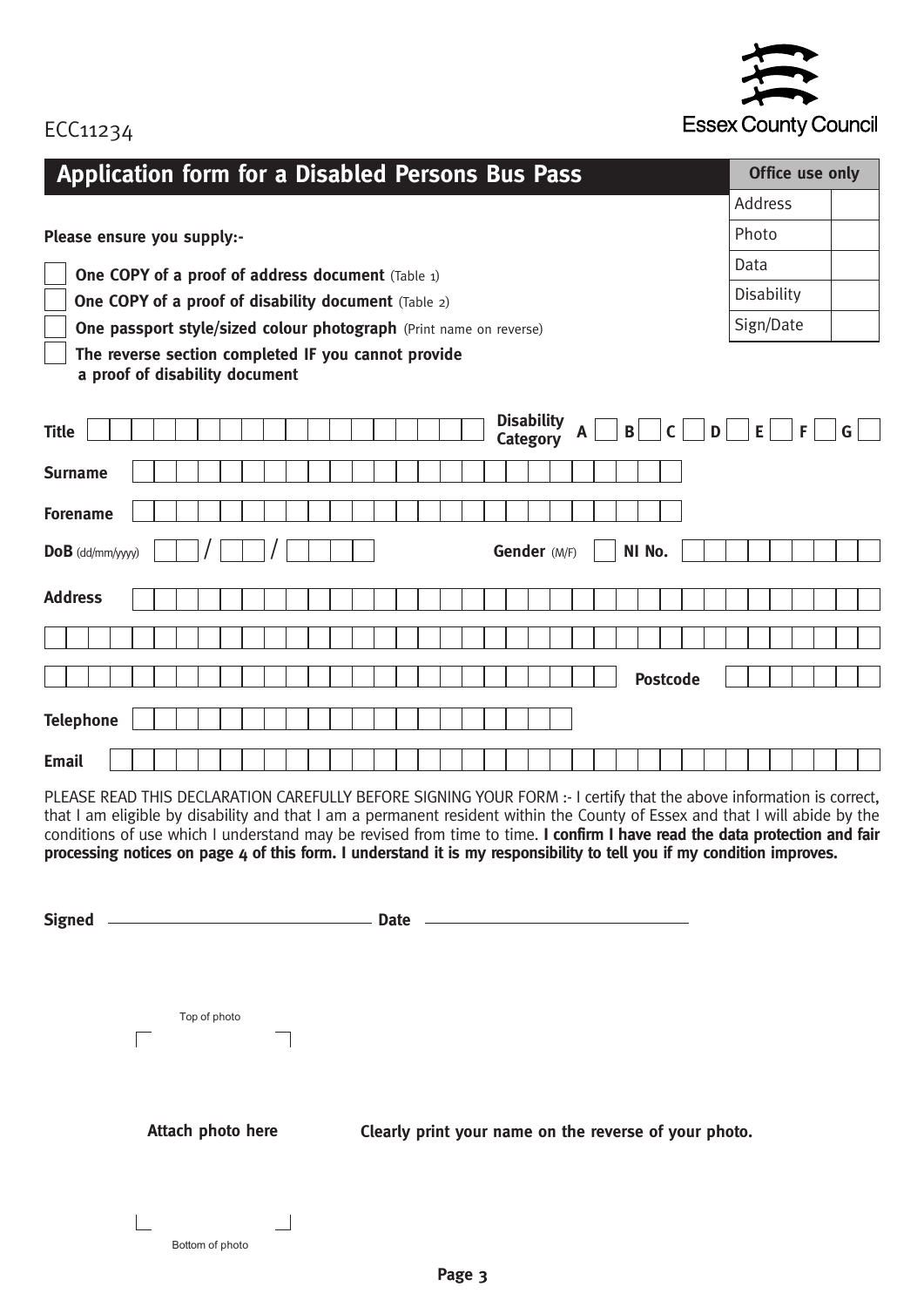

# ECC11234

| Application form for a Disabled Persons Bus Pass                                                                                                                                                                                                                                                                                                                                                                                                                                                         | Office use only |              |  |  |  |  |
|----------------------------------------------------------------------------------------------------------------------------------------------------------------------------------------------------------------------------------------------------------------------------------------------------------------------------------------------------------------------------------------------------------------------------------------------------------------------------------------------------------|-----------------|--------------|--|--|--|--|
|                                                                                                                                                                                                                                                                                                                                                                                                                                                                                                          | Address         |              |  |  |  |  |
| Please ensure you supply:-                                                                                                                                                                                                                                                                                                                                                                                                                                                                               | Photo           |              |  |  |  |  |
| <b>One COPY of a proof of address document</b> (Table 1)                                                                                                                                                                                                                                                                                                                                                                                                                                                 | Data            |              |  |  |  |  |
| <b>One COPY of a proof of disability document</b> (Table 2)                                                                                                                                                                                                                                                                                                                                                                                                                                              | Disability      |              |  |  |  |  |
| One passport style/sized colour photograph (Print name on reverse)                                                                                                                                                                                                                                                                                                                                                                                                                                       | Sign/Date       |              |  |  |  |  |
| The reverse section completed IF you cannot provide<br>a proof of disability document                                                                                                                                                                                                                                                                                                                                                                                                                    |                 |              |  |  |  |  |
| <b>Disability</b><br>$\mathbf{B}$<br>$\mathbf{D}$<br><b>Title</b><br>$\mathsf{C}$<br>A<br>Category                                                                                                                                                                                                                                                                                                                                                                                                       | E<br>F          | $\mathsf{G}$ |  |  |  |  |
| <b>Surname</b>                                                                                                                                                                                                                                                                                                                                                                                                                                                                                           |                 |              |  |  |  |  |
| <b>Forename</b>                                                                                                                                                                                                                                                                                                                                                                                                                                                                                          |                 |              |  |  |  |  |
| Gender (M/F)<br>NI No.<br>$DoB$ (dd/mm/yyyy)                                                                                                                                                                                                                                                                                                                                                                                                                                                             |                 |              |  |  |  |  |
|                                                                                                                                                                                                                                                                                                                                                                                                                                                                                                          |                 |              |  |  |  |  |
| <b>Address</b>                                                                                                                                                                                                                                                                                                                                                                                                                                                                                           |                 |              |  |  |  |  |
|                                                                                                                                                                                                                                                                                                                                                                                                                                                                                                          |                 |              |  |  |  |  |
| <b>Postcode</b>                                                                                                                                                                                                                                                                                                                                                                                                                                                                                          |                 |              |  |  |  |  |
| <b>Telephone</b>                                                                                                                                                                                                                                                                                                                                                                                                                                                                                         |                 |              |  |  |  |  |
| <b>Email</b>                                                                                                                                                                                                                                                                                                                                                                                                                                                                                             |                 |              |  |  |  |  |
| PLEASE READ THIS DECLARATION CAREFULLY BEFORE SIGNING YOUR FORM :- I certify that the above information is correct,<br>that I am eligible by disability and that I am a permanent resident within the County of Essex and that I will abide by the<br>conditions of use which I understand may be revised from time to time. I confirm I have read the data protection and fair<br>processing notices on page 4 of this form. I understand it is my responsibility to tell you if my condition improves. |                 |              |  |  |  |  |
| Signed <u>example and state</u> and state and state and state and state and state and state and state and state and state and state and state and state and state and state and state and state and state and state and state and s                                                                                                                                                                                                                                                                      |                 |              |  |  |  |  |
| Top of photo                                                                                                                                                                                                                                                                                                                                                                                                                                                                                             |                 |              |  |  |  |  |
| Attach photo here<br>Clearly print your name on the reverse of your photo.<br>Bottom of photo                                                                                                                                                                                                                                                                                                                                                                                                            |                 |              |  |  |  |  |